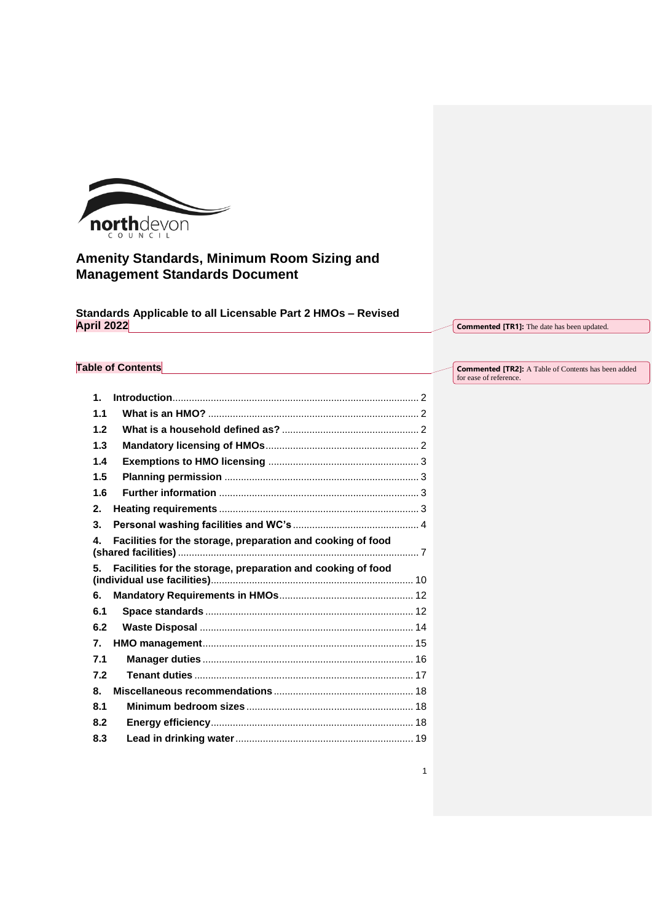

# **Amenity Standards, Minimum Room Sizing and Management Standards Document**

**Standards Applicable to all Licensable Part 2 HMOs – Revised April 2022**

**Commented [TR1]:** The date has been updated.

1

# **Table of Contents**

**Commented [TR2]:** A Table of Contents has been added for ease of reference.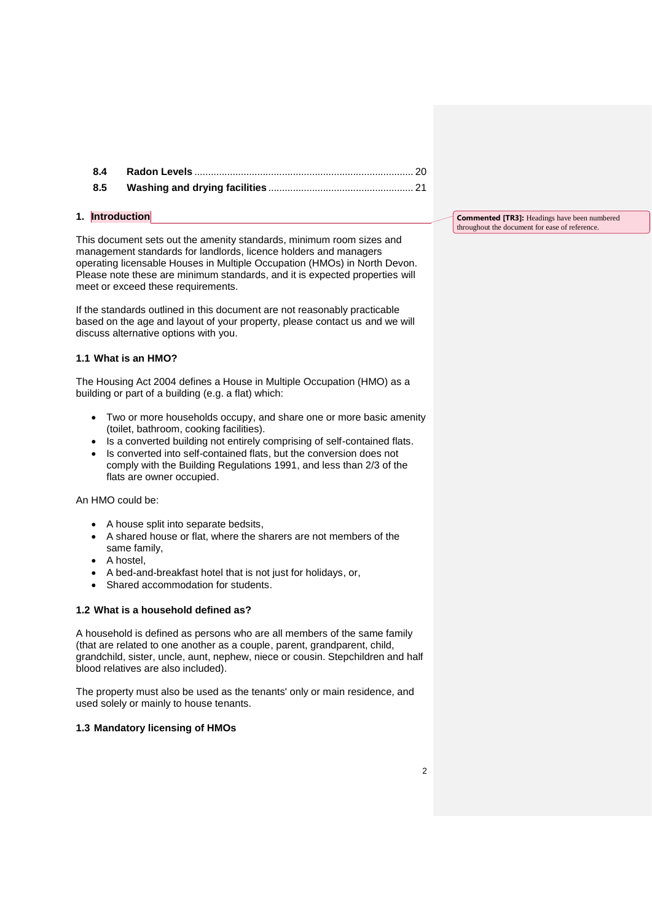#### <span id="page-1-0"></span>**1. Introduction**

This document sets out the amenity standards, minimum room sizes and management standards for landlords, licence holders and managers operating licensable Houses in Multiple Occupation (HMOs) in North Devon. Please note these are minimum standards, and it is expected properties will meet or exceed these requirements.

If the standards outlined in this document are not reasonably practicable based on the age and layout of your property, please contact us and we will discuss alternative options with you.

### <span id="page-1-1"></span>**1.1 What is an HMO?**

The Housing Act 2004 defines a House in Multiple Occupation (HMO) as a building or part of a building (e.g. a flat) which:

- Two or more households occupy, and share one or more basic amenity (toilet, bathroom, cooking facilities).
- Is a converted building not entirely comprising of self-contained flats.
- Is converted into self-contained flats, but the conversion does not comply with the Building Regulations 1991, and less than 2/3 of the flats are owner occupied.

## An HMO could be:

- A house split into separate bedsits,
- A shared house or flat, where the sharers are not members of the same family,
- A hostel,
- A bed-and-breakfast hotel that is not just for holidays, or,
- Shared accommodation for students.

#### <span id="page-1-2"></span>**1.2 What is a household defined as?**

A household is defined as persons who are all members of the same family (that are related to one another as a couple, parent, grandparent, child, grandchild, sister, uncle, aunt, nephew, niece or cousin. Stepchildren and half blood relatives are also included).

The property must also be used as the tenants' only or main residence, and used solely or mainly to house tenants.

#### <span id="page-1-3"></span>**1.3 Mandatory licensing of HMOs**

**Commented [TR3]:** Headings have been numbered throughout the document for ease of reference.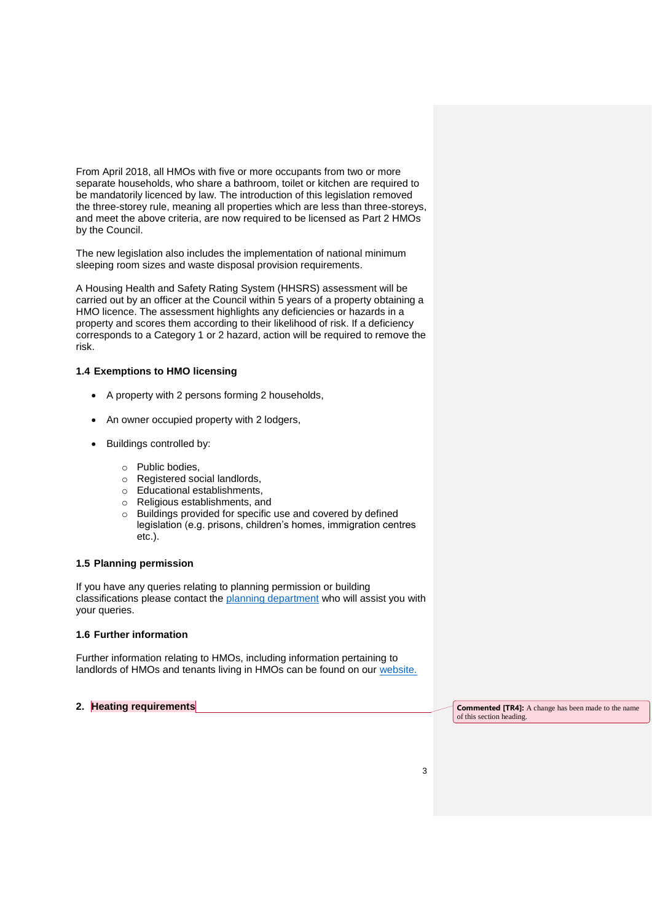From April 2018, all HMOs with five or more occupants from two or more separate households, who share a bathroom, toilet or kitchen are required to be mandatorily licenced by law. The introduction of this legislation removed the three-storey rule, meaning all properties which are less than three-storeys, and meet the above criteria, are now required to be licensed as Part 2 HMOs by the Council.

The new legislation also includes the implementation of national minimum sleeping room sizes and waste disposal provision requirements.

A Housing Health and Safety Rating System (HHSRS) assessment will be carried out by an officer at the Council within 5 years of a property obtaining a HMO licence. The assessment highlights any deficiencies or hazards in a property and scores them according to their likelihood of risk. If a deficiency corresponds to a Category 1 or 2 hazard, action will be required to remove the risk.

### <span id="page-2-0"></span>**1.4 Exemptions to HMO licensing**

- A property with 2 persons forming 2 households,
- An owner occupied property with 2 lodgers,
- Buildings controlled by:
	- o Public bodies,
	- o Registered social landlords,
	- o Educational establishments,
	- o Religious establishments, and
	- o Buildings provided for specific use and covered by defined legislation (e.g. prisons, children's homes, immigration centres etc.).

#### <span id="page-2-1"></span>**1.5 Planning permission**

If you have any queries relating to planning permission or building classifications please contact the [planning department](https://www.northdevon.gov.uk/planning-and-building-control/making-a-planning-application/) who will assist you with your queries.

#### <span id="page-2-2"></span>**1.6 Further information**

Further information relating to HMOs, including information pertaining to landlords of HMOs and tenants living in HMOs can be found on our [website.](https://www.northdevon.gov.uk/business/licences-and-permits/houses-in-multiple-occupation-hmos/)

<span id="page-2-3"></span>2. **Heating requirements Commented [TR4]:** A change has been made to the name of this section heading.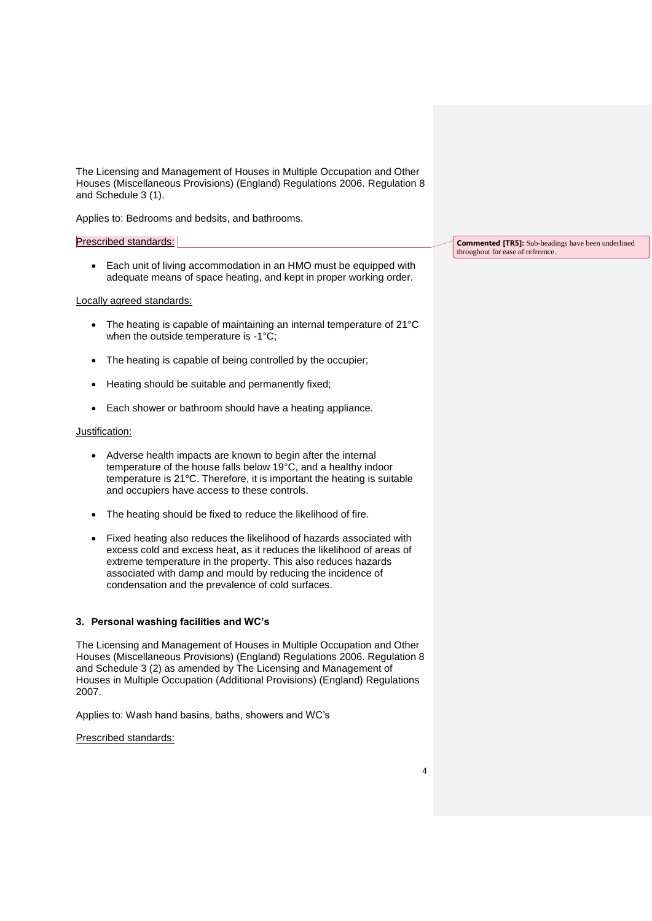The Licensing and Management of Houses in Multiple Occupation and Other Houses (Miscellaneous Provisions) (England) Regulations 2006. Regulation 8 and Schedule 3 (1).

Applies to: Bedrooms and bedsits, and bathrooms.

# Prescribed standards:

 Each unit of living accommodation in an HMO must be equipped with adequate means of space heating, and kept in proper working order.

#### Locally agreed standards:

- The heating is capable of maintaining an internal temperature of 21°C when the outside temperature is -1°C;
- The heating is capable of being controlled by the occupier;
- Heating should be suitable and permanently fixed;
- Each shower or bathroom should have a heating appliance.

#### Justification:

- Adverse health impacts are known to begin after the internal temperature of the house falls below 19°C, and a healthy indoor temperature is 21°C. Therefore, it is important the heating is suitable and occupiers have access to these controls.
- The heating should be fixed to reduce the likelihood of fire.
- Fixed heating also reduces the likelihood of hazards associated with excess cold and excess heat, as it reduces the likelihood of areas of extreme temperature in the property. This also reduces hazards associated with damp and mould by reducing the incidence of condensation and the prevalence of cold surfaces.

#### <span id="page-3-0"></span>**3. Personal washing facilities and WC's**

The Licensing and Management of Houses in Multiple Occupation and Other Houses (Miscellaneous Provisions) (England) Regulations 2006. Regulation 8 and Schedule 3 (2) as amended by The Licensing and Management of Houses in Multiple Occupation (Additional Provisions) (England) Regulations 2007.

Applies to: Wash hand basins, baths, showers and WC's

Prescribed standards:

**Commented [TR5]:** Sub-headings have been underlined throughout for ease of reference.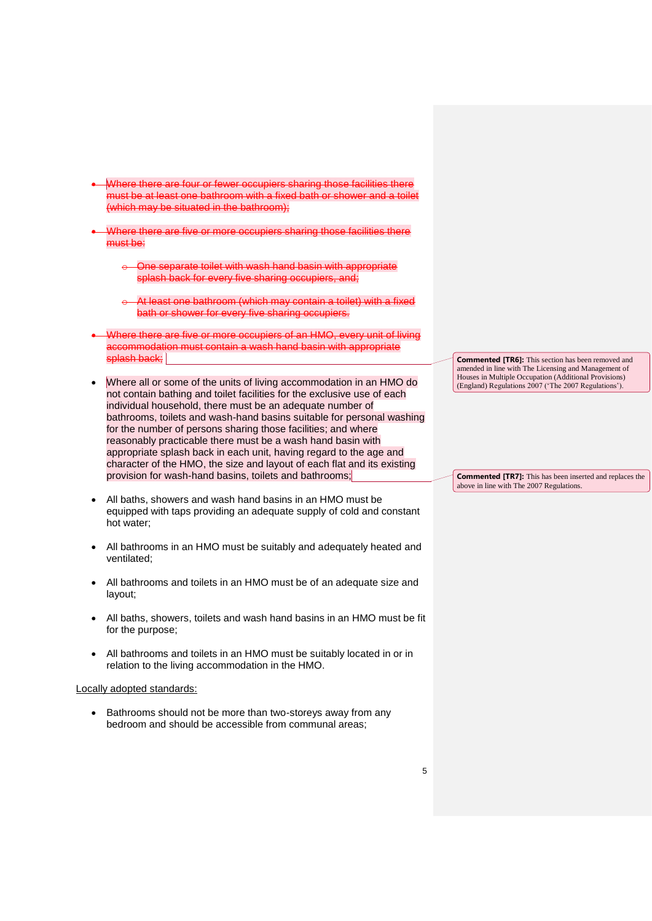- Where there are four or fewer occupiers sharing those facilities there must be at least one bathroom with a fixed bath or shower and a toilet (which may be situated in the bathroom);
- Where there are five or more occupiers sharing those facilities there must be:
	- One separate toilet with wash hand basin with appropriate splash back for every five sharing occupiers, and;
	- At least one bathroom (which may contain a toilet) with a fixed bath or shower for every five sharing occupiers.
- Where there are five or more occupiers of an HMO, every unit of living accommodation must contain a wash hand basin with appropriate splash back;
- Where all or some of the units of living accommodation in an HMO do not contain bathing and toilet facilities for the exclusive use of each individual household, there must be an adequate number of bathrooms, toilets and wash-hand basins suitable for personal washing for the number of persons sharing those facilities; and where reasonably practicable there must be a wash hand basin with appropriate splash back in each unit, having regard to the age and character of the HMO, the size and layout of each flat and its existing provision for wash-hand basins, toilets and bathrooms;
- All baths, showers and wash hand basins in an HMO must be equipped with taps providing an adequate supply of cold and constant hot water;
- All bathrooms in an HMO must be suitably and adequately heated and ventilated;
- All bathrooms and toilets in an HMO must be of an adequate size and layout;
- All baths, showers, toilets and wash hand basins in an HMO must be fit for the purpose;
- All bathrooms and toilets in an HMO must be suitably located in or in relation to the living accommodation in the HMO.

#### Locally adopted standards:

• Bathrooms should not be more than two-storeys away from any bedroom and should be accessible from communal areas;

**Commented [TR6]:** This section has been removed and amended in line with The Licensing and Management of Houses in Multiple Occupation (Additional Provisions) (England) Regulations 2007 ('The 2007 Regulations').

**Commented [TR7]:** This has been inserted and replaces the above in line with The 2007 Regulations.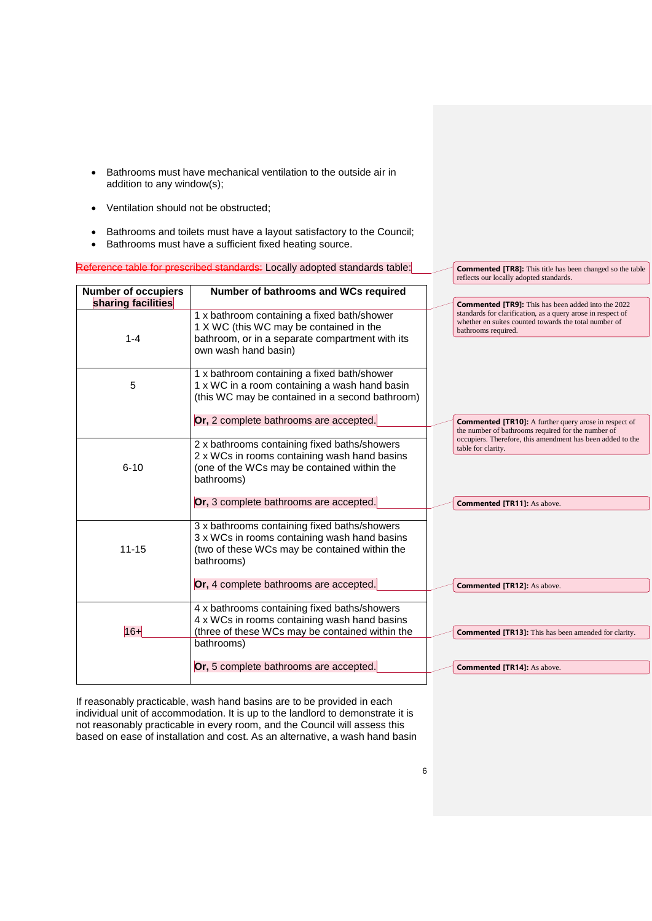- Bathrooms must have mechanical ventilation to the outside air in addition to any window(s);
- Ventilation should not be obstructed;
- Bathrooms and toilets must have a layout satisfactory to the Council;
- Bathrooms must have a sufficient fixed heating source.

# Reference table for prescribed standards: Locally adopted standards table:

| <b>Number of occupiers</b>    | Number of bathrooms and WCs required                                                                                                                              |                                                                                                                                                                                                          |
|-------------------------------|-------------------------------------------------------------------------------------------------------------------------------------------------------------------|----------------------------------------------------------------------------------------------------------------------------------------------------------------------------------------------------------|
| sharing facilities<br>$1 - 4$ | 1 x bathroom containing a fixed bath/shower<br>1 X WC (this WC may be contained in the<br>bathroom, or in a separate compartment with its<br>own wash hand basin) | <b>Commented [TR9]:</b> This has been added into the 2022<br>standards for clarification, as a query arose in respect of<br>whether en suites counted towards the total number of<br>bathrooms required. |
| 5                             | 1 x bathroom containing a fixed bath/shower<br>1 x WC in a room containing a wash hand basin<br>(this WC may be contained in a second bathroom)                   |                                                                                                                                                                                                          |
|                               | Or, 2 complete bathrooms are accepted.                                                                                                                            | <b>Commented [TR10]:</b> A further query arose in respect of<br>the number of bathrooms required for the number of                                                                                       |
| $6 - 10$                      | 2 x bathrooms containing fixed baths/showers<br>2 x WCs in rooms containing wash hand basins<br>(one of the WCs may be contained within the<br>bathrooms)         | occupiers. Therefore, this amendment has been added to the<br>table for clarity.                                                                                                                         |
|                               | Or, 3 complete bathrooms are accepted.                                                                                                                            | <b>Commented [TR11]:</b> As above.                                                                                                                                                                       |
| $11 - 15$                     | 3 x bathrooms containing fixed baths/showers<br>3 x WCs in rooms containing wash hand basins<br>(two of these WCs may be contained within the<br>bathrooms)       |                                                                                                                                                                                                          |
|                               | Or, 4 complete bathrooms are accepted.                                                                                                                            | <b>Commented [TR12]:</b> As above.                                                                                                                                                                       |
| $16 +$                        | 4 x bathrooms containing fixed baths/showers<br>4 x WCs in rooms containing wash hand basins<br>(three of these WCs may be contained within the<br>bathrooms)     | <b>Commented [TR13]:</b> This has been amended for clarity.                                                                                                                                              |
|                               | Or, 5 complete bathrooms are accepted.                                                                                                                            | <b>Commented [TR14]:</b> As above.                                                                                                                                                                       |
|                               |                                                                                                                                                                   |                                                                                                                                                                                                          |

If reasonably practicable, wash hand basins are to be provided in each individual unit of accommodation. It is up to the landlord to demonstrate it is not reasonably practicable in every room, and the Council will assess this based on ease of installation and cost. As an alternative, a wash hand basin **Commented [TR8]:** This title has been changed so the table

reflects our locally adopted standards.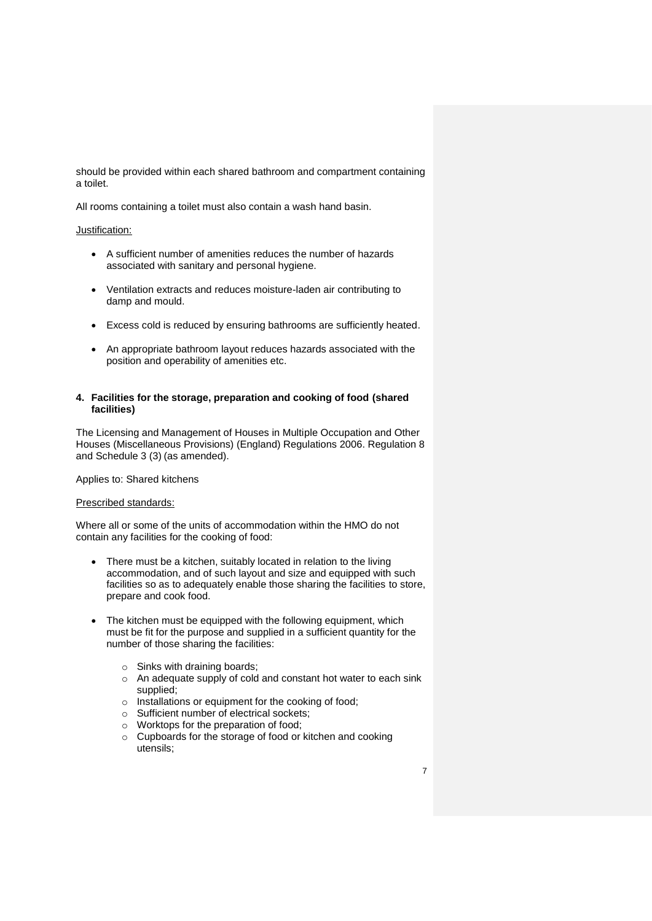should be provided within each shared bathroom and compartment containing a toilet.

All rooms containing a toilet must also contain a wash hand basin.

#### Justification:

- A sufficient number of amenities reduces the number of hazards associated with sanitary and personal hygiene.
- Ventilation extracts and reduces moisture-laden air contributing to damp and mould.
- Excess cold is reduced by ensuring bathrooms are sufficiently heated.
- An appropriate bathroom layout reduces hazards associated with the position and operability of amenities etc.

#### <span id="page-6-0"></span>**4. Facilities for the storage, preparation and cooking of food (shared facilities)**

The Licensing and Management of Houses in Multiple Occupation and Other Houses (Miscellaneous Provisions) (England) Regulations 2006. Regulation 8 and Schedule 3 (3) (as amended).

Applies to: Shared kitchens

#### Prescribed standards:

Where all or some of the units of accommodation within the HMO do not contain any facilities for the cooking of food:

- There must be a kitchen, suitably located in relation to the living accommodation, and of such layout and size and equipped with such facilities so as to adequately enable those sharing the facilities to store, prepare and cook food.
- The kitchen must be equipped with the following equipment, which must be fit for the purpose and supplied in a sufficient quantity for the number of those sharing the facilities:
	- o Sinks with draining boards;
	- o An adequate supply of cold and constant hot water to each sink supplied;
	- o Installations or equipment for the cooking of food;
	- o Sufficient number of electrical sockets;
	- o Worktops for the preparation of food;
	- o Cupboards for the storage of food or kitchen and cooking utensils;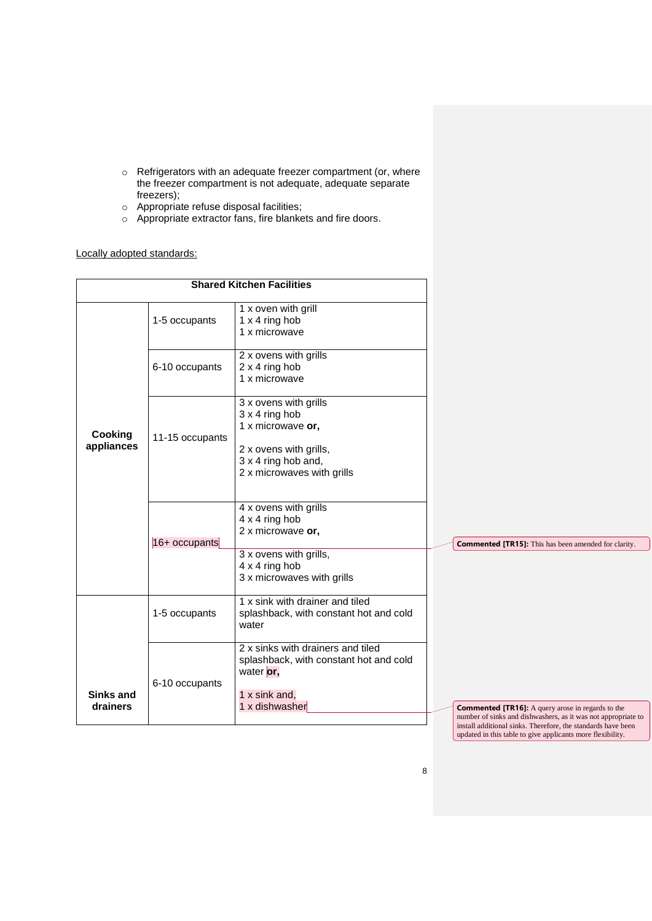- o Refrigerators with an adequate freezer compartment (or, where the freezer compartment is not adequate, adequate separate freezers);
- o Appropriate refuse disposal facilities;
- o Appropriate extractor fans, fire blankets and fire doors.

# Locally adopted standards:

|                       |                 | <b>Shared Kitchen Facilities</b>                                                                                                                   |                                                                                                                                                                                                                                                         |
|-----------------------|-----------------|----------------------------------------------------------------------------------------------------------------------------------------------------|---------------------------------------------------------------------------------------------------------------------------------------------------------------------------------------------------------------------------------------------------------|
|                       | 1-5 occupants   | 1 x oven with grill<br>1 x 4 ring hob<br>1 x microwave                                                                                             |                                                                                                                                                                                                                                                         |
|                       | 6-10 occupants  | 2 x ovens with grills<br>2 x 4 ring hob<br>1 x microwave                                                                                           |                                                                                                                                                                                                                                                         |
| Cooking<br>appliances | 11-15 occupants | 3 x ovens with grills<br>$3 \times 4$ ring hob<br>1 x microwave or,<br>2 x ovens with grills,<br>3 x 4 ring hob and,<br>2 x microwaves with grills |                                                                                                                                                                                                                                                         |
|                       | 16+ occupants   | 4 x ovens with grills<br>4 x 4 ring hob<br>2 x microwave or,<br>3 x ovens with grills,<br>4 x 4 ring hob                                           | <b>Commented [TR15]:</b> This has been amended for clarity.                                                                                                                                                                                             |
|                       | 1-5 occupants   | 3 x microwaves with grills<br>1 x sink with drainer and tiled<br>splashback, with constant hot and cold<br>water                                   |                                                                                                                                                                                                                                                         |
| Sinks and             | 6-10 occupants  | 2 x sinks with drainers and tiled<br>splashback, with constant hot and cold<br>water or,<br>1 x sink and,                                          |                                                                                                                                                                                                                                                         |
| drainers              |                 | 1 x dishwasher                                                                                                                                     | <b>Commented [TR16]:</b> A query arose in regards to the<br>number of sinks and dishwashers, as it was not appropriate to<br>install additional sinks. Therefore, the standards have been<br>updated in this table to give applicants more flexibility. |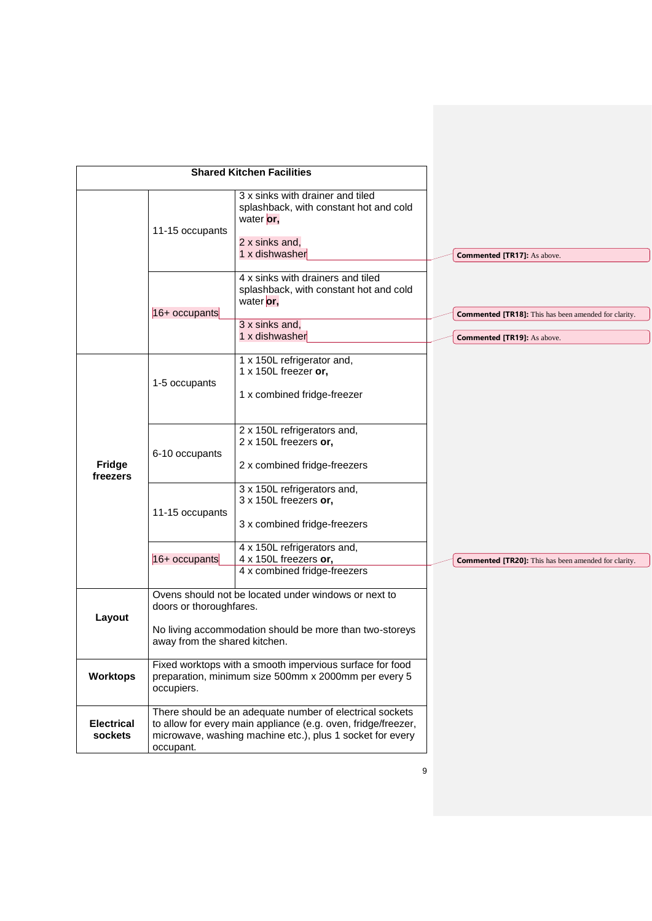| <b>Shared Kitchen Facilities</b> |                                                                                                                                |                                                                                                                                                                                        |                                                             |
|----------------------------------|--------------------------------------------------------------------------------------------------------------------------------|----------------------------------------------------------------------------------------------------------------------------------------------------------------------------------------|-------------------------------------------------------------|
|                                  | 11-15 occupants                                                                                                                | 3 x sinks with drainer and tiled<br>splashback, with constant hot and cold<br>water or,<br>2 x sinks and,<br>1 x dishwasher                                                            | <b>Commented [TR17]:</b> As above.                          |
|                                  | $16+$ occupants                                                                                                                | 4 x sinks with drainers and tiled<br>splashback, with constant hot and cold<br>water or,<br>3 x sinks and,                                                                             | <b>Commented [TR18]:</b> This has been amended for clarity. |
|                                  |                                                                                                                                | 1 x dishwasher                                                                                                                                                                         | <b>Commented [TR19]:</b> As above.                          |
|                                  | 1-5 occupants                                                                                                                  | 1 x 150L refrigerator and,<br>1 x 150L freezer or,<br>1 x combined fridge-freezer                                                                                                      |                                                             |
| Fridge<br>freezers               | 6-10 occupants                                                                                                                 | 2 x 150L refrigerators and,<br>2 x 150L freezers or,<br>2 x combined fridge-freezers                                                                                                   |                                                             |
|                                  | 11-15 occupants                                                                                                                | 3 x 150L refrigerators and,<br>3 x 150L freezers or,<br>3 x combined fridge-freezers                                                                                                   |                                                             |
|                                  | 16+ occupants                                                                                                                  | 4 x 150L refrigerators and,<br>4 x 150L freezers or,<br>4 x combined fridge-freezers                                                                                                   | <b>Commented [TR20]:</b> This has been amended for clarity. |
|                                  | Ovens should not be located under windows or next to<br>doors or thoroughfares.                                                |                                                                                                                                                                                        |                                                             |
| Layout                           | No living accommodation should be more than two-storeys<br>away from the shared kitchen.                                       |                                                                                                                                                                                        |                                                             |
| <b>Worktops</b>                  | Fixed worktops with a smooth impervious surface for food<br>preparation, minimum size 500mm x 2000mm per every 5<br>occupiers. |                                                                                                                                                                                        |                                                             |
| <b>Electrical</b><br>sockets     | occupant.                                                                                                                      | There should be an adequate number of electrical sockets<br>to allow for every main appliance (e.g. oven, fridge/freezer,<br>microwave, washing machine etc.), plus 1 socket for every |                                                             |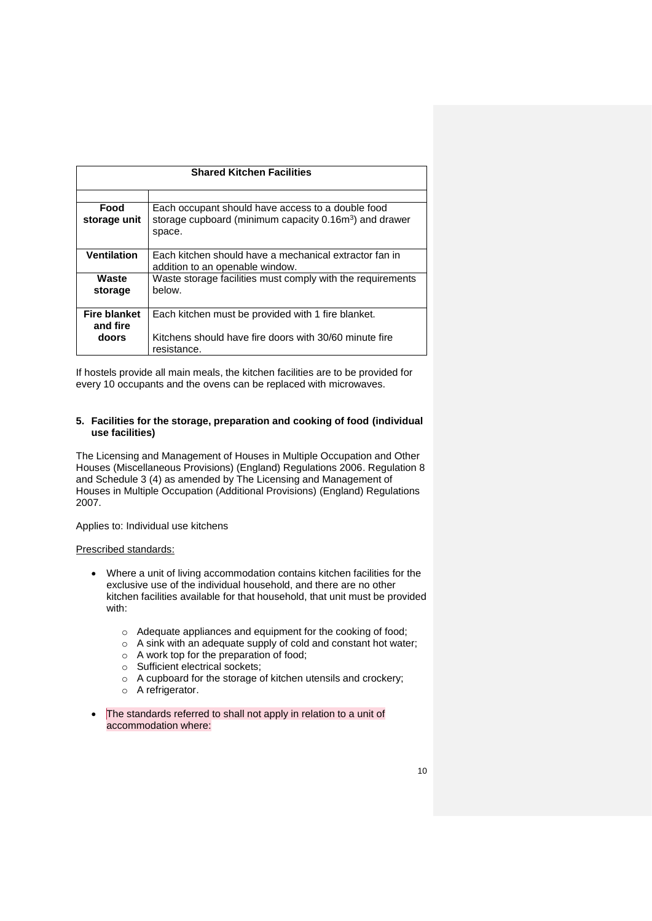| <b>Shared Kitchen Facilities</b>                                   |  |  |
|--------------------------------------------------------------------|--|--|
|                                                                    |  |  |
|                                                                    |  |  |
| Each occupant should have access to a double food                  |  |  |
| storage cupboard (minimum capacity 0.16m <sup>3</sup> ) and drawer |  |  |
| space.                                                             |  |  |
|                                                                    |  |  |
| Each kitchen should have a mechanical extractor fan in             |  |  |
| addition to an openable window.                                    |  |  |
| Waste storage facilities must comply with the requirements         |  |  |
| below.                                                             |  |  |
|                                                                    |  |  |
| Each kitchen must be provided with 1 fire blanket.                 |  |  |
|                                                                    |  |  |
| Kitchens should have fire doors with 30/60 minute fire             |  |  |
| resistance.                                                        |  |  |
|                                                                    |  |  |

If hostels provide all main meals, the kitchen facilities are to be provided for every 10 occupants and the ovens can be replaced with microwaves.

#### <span id="page-9-0"></span>**5. Facilities for the storage, preparation and cooking of food (individual use facilities)**

The Licensing and Management of Houses in Multiple Occupation and Other Houses (Miscellaneous Provisions) (England) Regulations 2006. Regulation 8 and Schedule 3 (4) as amended by The Licensing and Management of Houses in Multiple Occupation (Additional Provisions) (England) Regulations 2007.

Applies to: Individual use kitchens

#### Prescribed standards:

- Where a unit of living accommodation contains kitchen facilities for the exclusive use of the individual household, and there are no other kitchen facilities available for that household, that unit must be provided with:
	- o Adequate appliances and equipment for the cooking of food;
	- $\circ$  A sink with an adequate supply of cold and constant hot water;
	- o A work top for the preparation of food;
	- o Sufficient electrical sockets;
	- o A cupboard for the storage of kitchen utensils and crockery;
	- o A refrigerator.
- The standards referred to shall not apply in relation to a unit of accommodation where: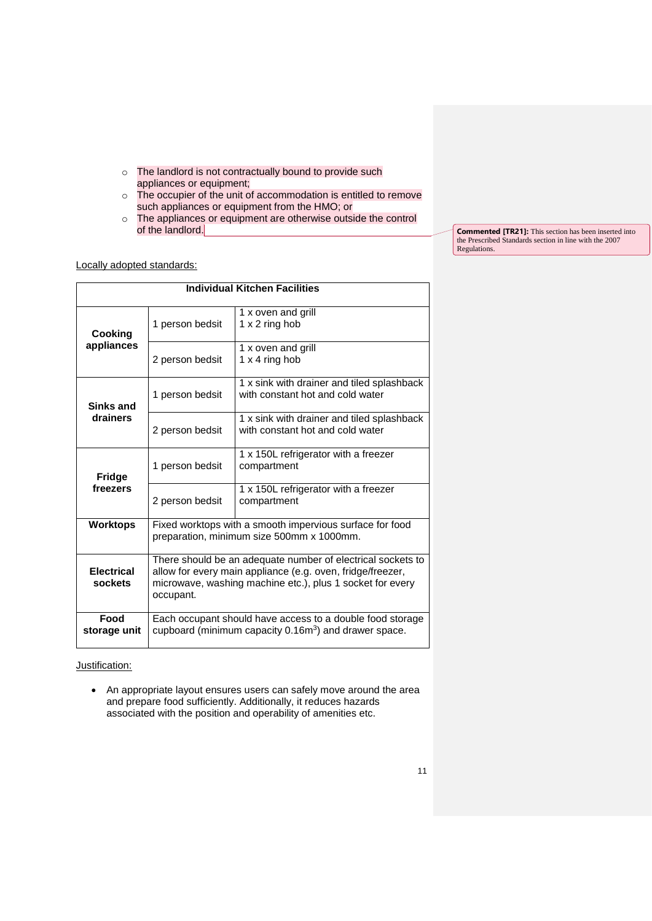- o The landlord is not contractually bound to provide such appliances or equipment;
- o The occupier of the unit of accommodation is entitled to remove such appliances or equipment from the HMO; or
- o The appliances or equipment are otherwise outside the control of the landlord.

Locally adopted standards:

| <b>Individual Kitchen Facilities</b> |                                                                                                                                                                                                     |                                                                                |  |
|--------------------------------------|-----------------------------------------------------------------------------------------------------------------------------------------------------------------------------------------------------|--------------------------------------------------------------------------------|--|
| Cooking                              | 1 person bedsit                                                                                                                                                                                     | 1 x oven and grill<br>$1 \times 2$ ring hob                                    |  |
| appliances                           | 2 person bedsit                                                                                                                                                                                     | 1 x oven and grill<br>$1 \times 4$ ring hob                                    |  |
| Sinks and                            | 1 person bedsit                                                                                                                                                                                     | 1 x sink with drainer and tiled splashback<br>with constant hot and cold water |  |
| drainers                             | 2 person bedsit                                                                                                                                                                                     | 1 x sink with drainer and tiled splashback<br>with constant hot and cold water |  |
| <b>Fridge</b>                        | 1 person bedsit                                                                                                                                                                                     | 1 x 150L refrigerator with a freezer<br>compartment                            |  |
| freezers                             | 2 person bedsit                                                                                                                                                                                     | 1 x 150L refrigerator with a freezer<br>compartment                            |  |
| <b>Worktops</b>                      | Fixed worktops with a smooth impervious surface for food<br>preparation, minimum size 500mm x 1000mm.                                                                                               |                                                                                |  |
| <b>Electrical</b><br>sockets         | There should be an adequate number of electrical sockets to<br>allow for every main appliance (e.g. oven, fridge/freezer,<br>microwave, washing machine etc.), plus 1 socket for every<br>occupant. |                                                                                |  |
| Food<br>storage unit                 | Each occupant should have access to a double food storage<br>cupboard (minimum capacity 0.16m <sup>3</sup> ) and drawer space.                                                                      |                                                                                |  |

Justification:

 An appropriate layout ensures users can safely move around the area and prepare food sufficiently. Additionally, it reduces hazards associated with the position and operability of amenities etc.

**Commented [TR21]:** This section has been inserted into the Prescribed Standards section in line with the 2007 Regulations.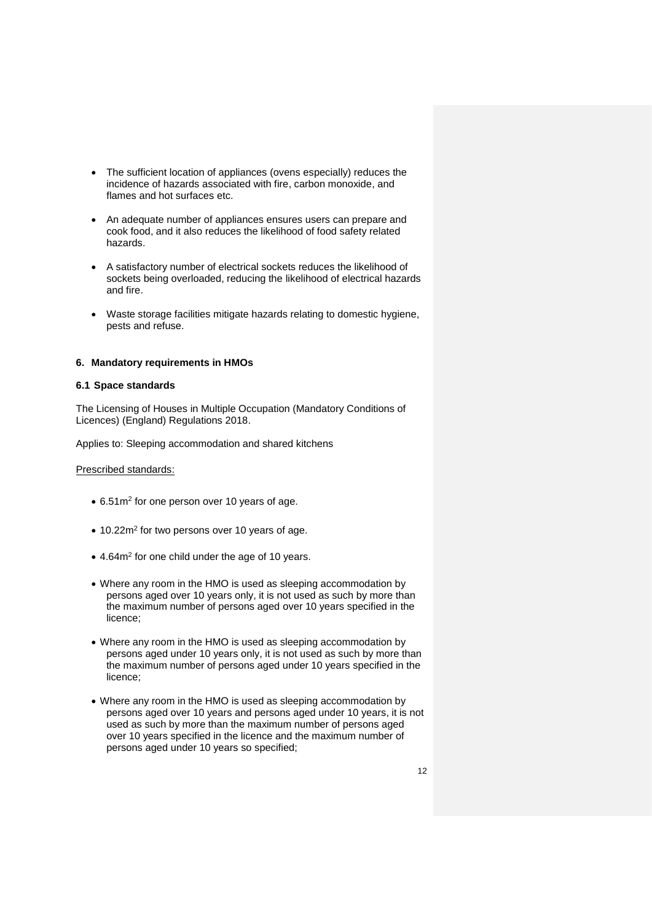- The sufficient location of appliances (ovens especially) reduces the incidence of hazards associated with fire, carbon monoxide, and flames and hot surfaces etc.
- An adequate number of appliances ensures users can prepare and cook food, and it also reduces the likelihood of food safety related hazards.
- A satisfactory number of electrical sockets reduces the likelihood of sockets being overloaded, reducing the likelihood of electrical hazards and fire.
- Waste storage facilities mitigate hazards relating to domestic hygiene, pests and refuse.

### <span id="page-11-0"></span>**6. Mandatory requirements in HMOs**

### <span id="page-11-1"></span>**6.1 Space standards**

The Licensing of Houses in Multiple Occupation (Mandatory Conditions of Licences) (England) Regulations 2018.

Applies to: Sleeping accommodation and shared kitchens

#### Prescribed standards:

- 6.51m<sup>2</sup> for one person over 10 years of age.
- 10.22m<sup>2</sup> for two persons over 10 years of age.
- 4.64m<sup>2</sup> for one child under the age of 10 years.
- Where any room in the HMO is used as sleeping accommodation by persons aged over 10 years only, it is not used as such by more than the maximum number of persons aged over 10 years specified in the licence;
- Where any room in the HMO is used as sleeping accommodation by persons aged under 10 years only, it is not used as such by more than the maximum number of persons aged under 10 years specified in the licence;
- Where any room in the HMO is used as sleeping accommodation by persons aged over 10 years and persons aged under 10 years, it is not used as such by more than the maximum number of persons aged over 10 years specified in the licence and the maximum number of persons aged under 10 years so specified;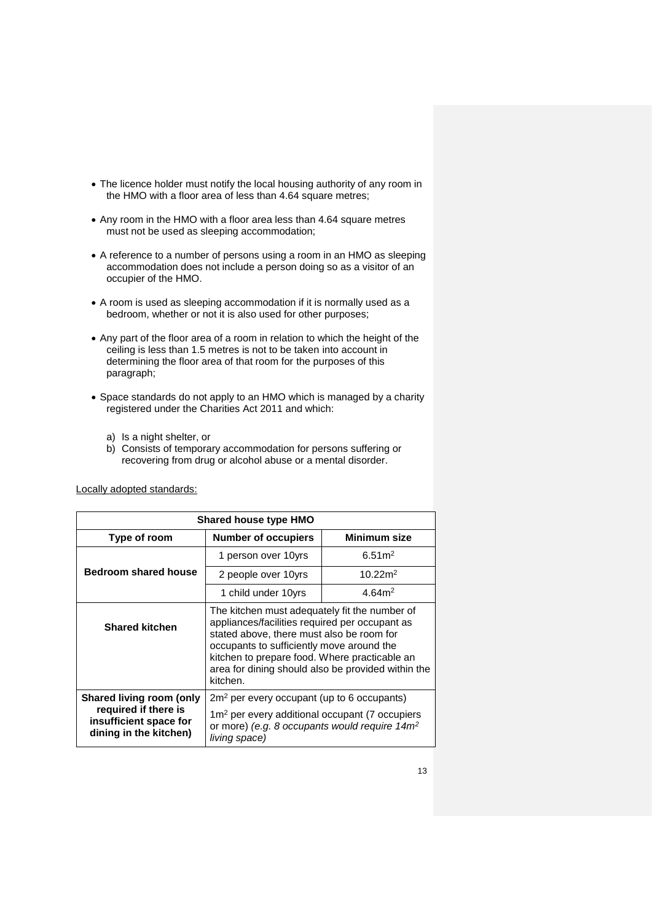- The licence holder must notify the local housing authority of any room in the HMO with a floor area of less than 4.64 square metres;
- Any room in the HMO with a floor area less than 4.64 square metres must not be used as sleeping accommodation;
- A reference to a number of persons using a room in an HMO as sleeping accommodation does not include a person doing so as a visitor of an occupier of the HMO.
- A room is used as sleeping accommodation if it is normally used as a bedroom, whether or not it is also used for other purposes;
- Any part of the floor area of a room in relation to which the height of the ceiling is less than 1.5 metres is not to be taken into account in determining the floor area of that room for the purposes of this paragraph;
- Space standards do not apply to an HMO which is managed by a charity registered under the Charities Act 2011 and which:
	- a) Is a night shelter, or
	- b) Consists of temporary accommodation for persons suffering or recovering from drug or alcohol abuse or a mental disorder.

**Shared house type HMO Type of room Number of occupiers Minimum size Bedroom shared house** 1 person over 10yrs  $\vert$  6.51m<sup>2</sup> 2 people over 10yrs  $10.22m^2$ 1 child under 10yrs  $\vert$  4.64m<sup>2</sup> **Shared kitchen** The kitchen must adequately fit the number of appliances/facilities required per occupant as stated above, there must also be room for occupants to sufficiently move around the kitchen to prepare food. Where practicable an area for dining should also be provided within the kitchen. **Shared living room (only required if there is insufficient space for dining in the kitchen)** 2m<sup>2</sup> per every occupant (up to 6 occupants) 1m<sup>2</sup> per every additional occupant (7 occupiers or more) *(e.g. 8 occupants would require 14m<sup>2</sup> living space)*

Locally adopted standards: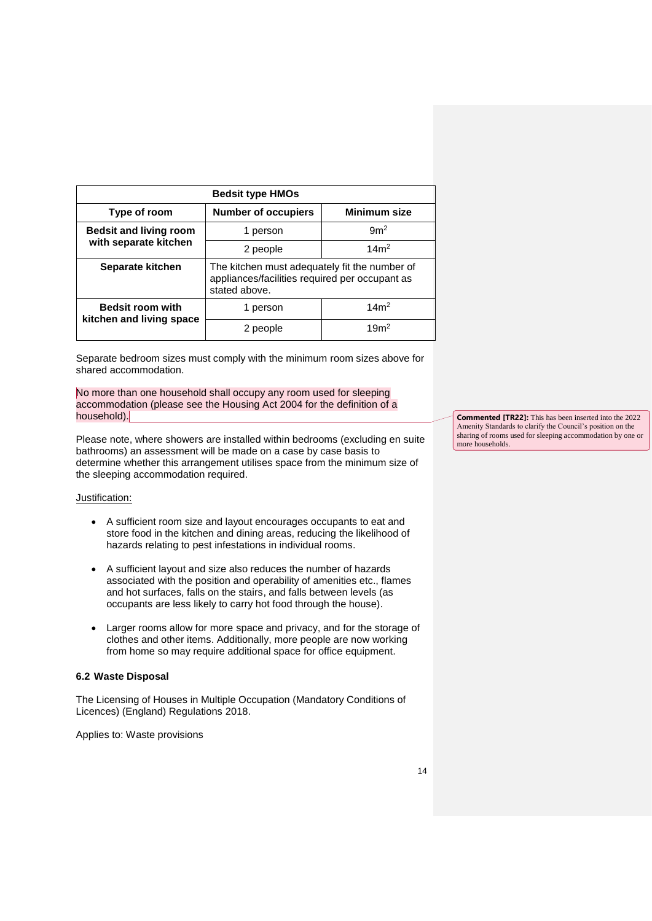| <b>Bedsit type HMOs</b>                                |                                                                                                                  |                  |  |
|--------------------------------------------------------|------------------------------------------------------------------------------------------------------------------|------------------|--|
| Type of room                                           | <b>Number of occupiers</b>                                                                                       | Minimum size     |  |
| <b>Bedsit and living room</b><br>with separate kitchen | 1 person                                                                                                         | 9m <sup>2</sup>  |  |
|                                                        | 2 people                                                                                                         | 14m <sup>2</sup> |  |
| Separate kitchen                                       | The kitchen must adequately fit the number of<br>appliances/facilities required per occupant as<br>stated above. |                  |  |
| <b>Bedsit room with</b>                                | 1 person                                                                                                         | 14m <sup>2</sup> |  |
| kitchen and living space                               | 2 people                                                                                                         | 19 <sup>m²</sup> |  |

Separate bedroom sizes must comply with the minimum room sizes above for shared accommodation.

No more than one household shall occupy any room used for sleeping accommodation (please see the Housing Act 2004 for the definition of a household).

Please note, where showers are installed within bedrooms (excluding en suite bathrooms) an assessment will be made on a case by case basis to determine whether this arrangement utilises space from the minimum size of the sleeping accommodation required.

# Justification:

- A sufficient room size and layout encourages occupants to eat and store food in the kitchen and dining areas, reducing the likelihood of hazards relating to pest infestations in individual rooms.
- A sufficient layout and size also reduces the number of hazards associated with the position and operability of amenities etc., flames and hot surfaces, falls on the stairs, and falls between levels (as occupants are less likely to carry hot food through the house).
- Larger rooms allow for more space and privacy, and for the storage of clothes and other items. Additionally, more people are now working from home so may require additional space for office equipment.

# <span id="page-13-0"></span>**6.2 Waste Disposal**

The Licensing of Houses in Multiple Occupation (Mandatory Conditions of Licences) (England) Regulations 2018.

Applies to: Waste provisions

**Commented [TR22]:** This has been inserted into the 2022 Amenity Standards to clarify the Council's position on the sharing of rooms used for sleeping accommodation by one or more households.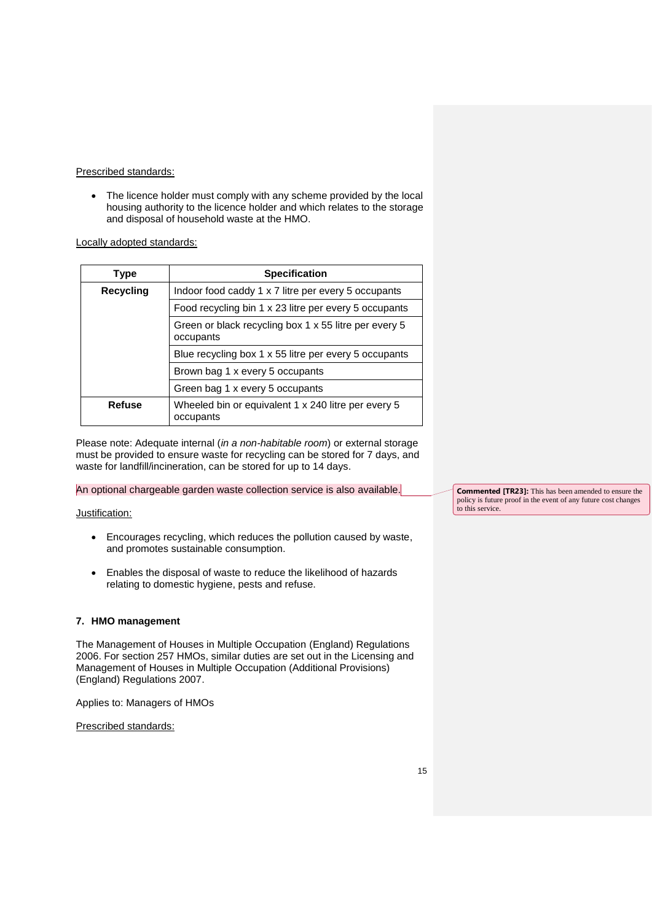#### Prescribed standards:

• The licence holder must comply with any scheme provided by the local housing authority to the licence holder and which relates to the storage and disposal of household waste at the HMO.

Locally adopted standards:

| Type      | <b>Specification</b>                                               |
|-----------|--------------------------------------------------------------------|
| Recycling | Indoor food caddy 1 x 7 litre per every 5 occupants                |
|           | Food recycling bin 1 x 23 litre per every 5 occupants              |
|           | Green or black recycling box 1 x 55 litre per every 5<br>occupants |
|           | Blue recycling box 1 x 55 litre per every 5 occupants              |
|           | Brown bag 1 x every 5 occupants                                    |
|           | Green bag 1 x every 5 occupants                                    |
| Refuse    | Wheeled bin or equivalent 1 x 240 litre per every 5<br>occupants   |

Please note: Adequate internal (*in a non-habitable room*) or external storage must be provided to ensure waste for recycling can be stored for 7 days, and waste for landfill/incineration, can be stored for up to 14 days.

An optional chargeable garden waste collection service is also available.

# Justification:

- Encourages recycling, which reduces the pollution caused by waste, and promotes sustainable consumption.
- Enables the disposal of waste to reduce the likelihood of hazards relating to domestic hygiene, pests and refuse.

# <span id="page-14-0"></span>**7. HMO management**

The Management of Houses in Multiple Occupation (England) Regulations 2006. For section 257 HMOs, similar duties are set out in the Licensing and Management of Houses in Multiple Occupation (Additional Provisions) (England) Regulations 2007.

Applies to: Managers of HMOs

Prescribed standards:

**Commented [TR23]:** This has been amended to ensure the policy is future proof in the event of any future cost changes to this service.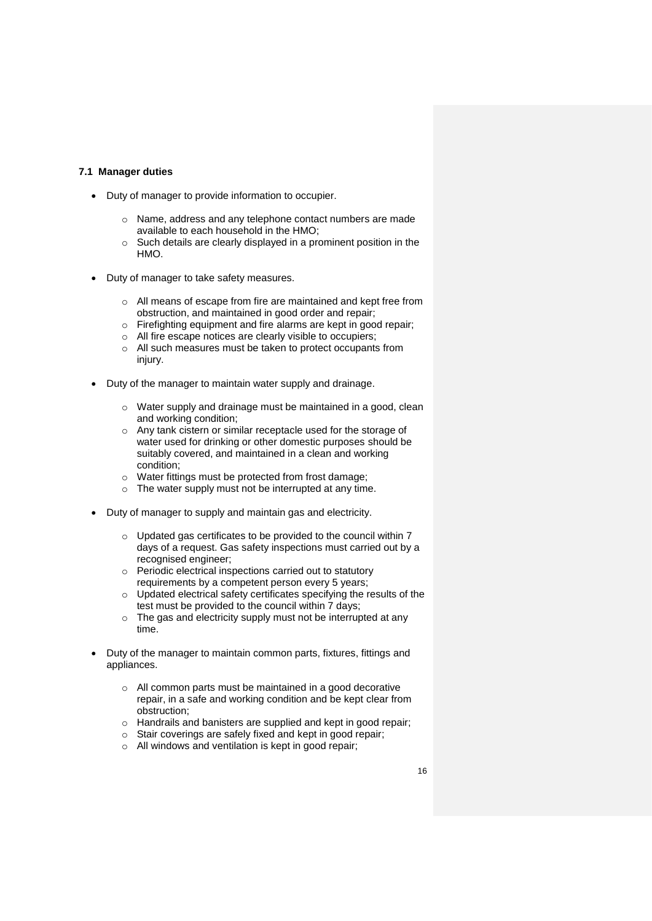#### <span id="page-15-0"></span>**7.1 Manager duties**

- Duty of manager to provide information to occupier.
	- o Name, address and any telephone contact numbers are made available to each household in the HMO;
	- o Such details are clearly displayed in a prominent position in the HMO.
- Duty of manager to take safety measures.
	- o All means of escape from fire are maintained and kept free from obstruction, and maintained in good order and repair;
	- o Firefighting equipment and fire alarms are kept in good repair;
	- o All fire escape notices are clearly visible to occupiers;
	- o All such measures must be taken to protect occupants from injury.
- Duty of the manager to maintain water supply and drainage.
	- o Water supply and drainage must be maintained in a good, clean and working condition;
	- o Any tank cistern or similar receptacle used for the storage of water used for drinking or other domestic purposes should be suitably covered, and maintained in a clean and working condition;
	- o Water fittings must be protected from frost damage;
	- o The water supply must not be interrupted at any time.
- Duty of manager to supply and maintain gas and electricity.
	- o Updated gas certificates to be provided to the council within 7 days of a request. Gas safety inspections must carried out by a recognised engineer;
	- o Periodic electrical inspections carried out to statutory requirements by a competent person every 5 years;
	- o Updated electrical safety certificates specifying the results of the test must be provided to the council within 7 days;
	- o The gas and electricity supply must not be interrupted at any time.
- Duty of the manager to maintain common parts, fixtures, fittings and appliances.
	- o All common parts must be maintained in a good decorative repair, in a safe and working condition and be kept clear from obstruction;
	- o Handrails and banisters are supplied and kept in good repair;
	- o Stair coverings are safely fixed and kept in good repair;
	- o All windows and ventilation is kept in good repair;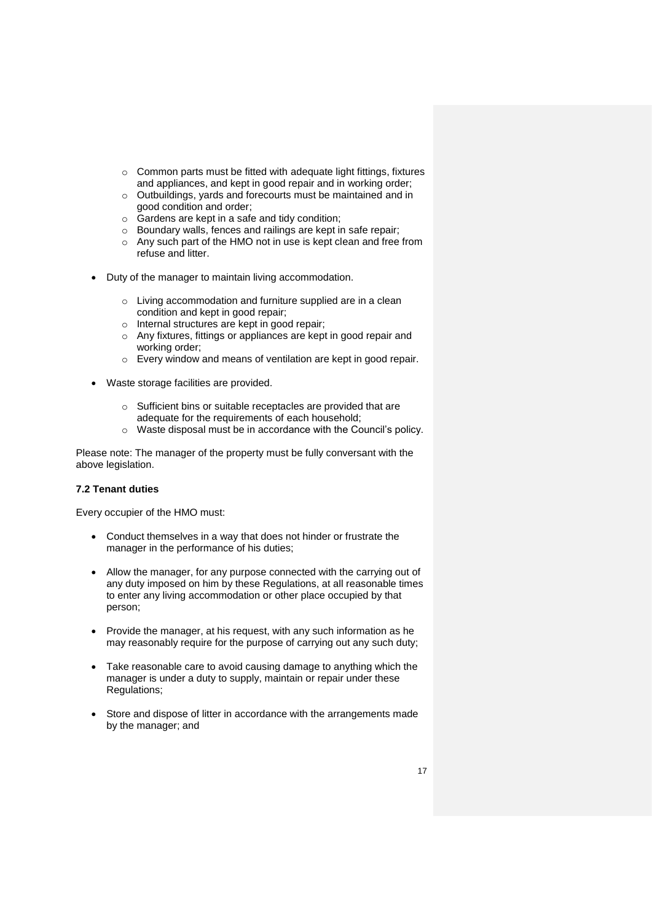- o Common parts must be fitted with adequate light fittings, fixtures and appliances, and kept in good repair and in working order;
- o Outbuildings, yards and forecourts must be maintained and in good condition and order;
- o Gardens are kept in a safe and tidy condition;
- o Boundary walls, fences and railings are kept in safe repair;
- o Any such part of the HMO not in use is kept clean and free from refuse and litter.
- Duty of the manager to maintain living accommodation.
	- o Living accommodation and furniture supplied are in a clean condition and kept in good repair;
	- o Internal structures are kept in good repair;
	- o Any fixtures, fittings or appliances are kept in good repair and working order;
	- o Every window and means of ventilation are kept in good repair.
- Waste storage facilities are provided.
	- o Sufficient bins or suitable receptacles are provided that are adequate for the requirements of each household;
	- o Waste disposal must be in accordance with the Council's policy.

Please note: The manager of the property must be fully conversant with the above legislation.

#### <span id="page-16-0"></span>**7.2 Tenant duties**

Every occupier of the HMO must:

- Conduct themselves in a way that does not hinder or frustrate the manager in the performance of his duties;
- Allow the manager, for any purpose connected with the carrying out of any duty imposed on him by these Regulations, at all reasonable times to enter any living accommodation or other place occupied by that person;
- Provide the manager, at his request, with any such information as he may reasonably require for the purpose of carrying out any such duty;
- Take reasonable care to avoid causing damage to anything which the manager is under a duty to supply, maintain or repair under these Regulations;
- Store and dispose of litter in accordance with the arrangements made by the manager; and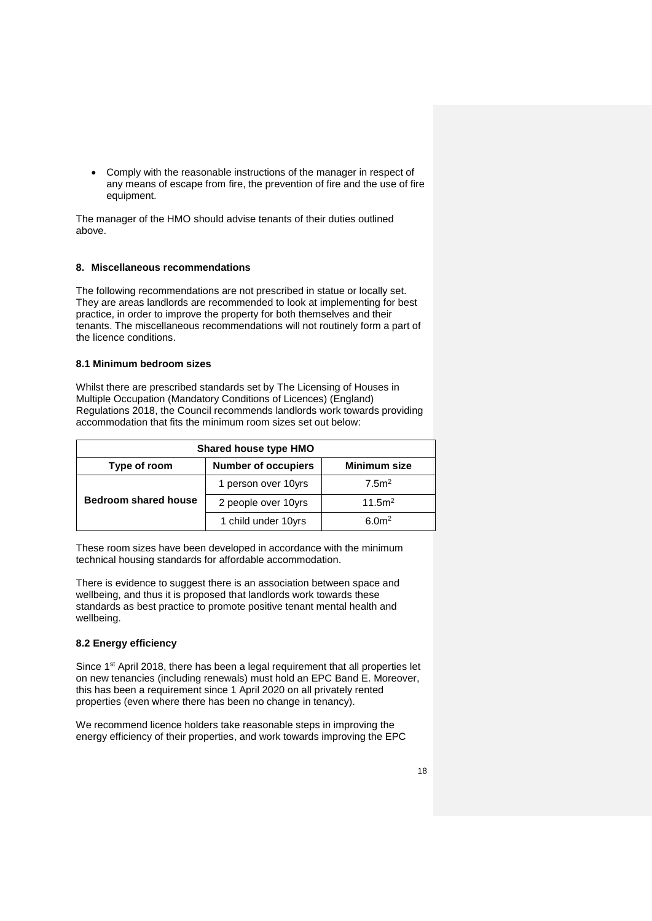Comply with the reasonable instructions of the manager in respect of any means of escape from fire, the prevention of fire and the use of fire equipment.

The manager of the HMO should advise tenants of their duties outlined above.

### <span id="page-17-0"></span>**8. Miscellaneous recommendations**

The following recommendations are not prescribed in statue or locally set. They are areas landlords are recommended to look at implementing for best practice, in order to improve the property for both themselves and their tenants. The miscellaneous recommendations will not routinely form a part of the licence conditions.

### <span id="page-17-1"></span>**8.1 Minimum bedroom sizes**

Whilst there are prescribed standards set by The Licensing of Houses in Multiple Occupation (Mandatory Conditions of Licences) (England) Regulations 2018, the Council recommends landlords work towards providing accommodation that fits the minimum room sizes set out below:

| <b>Shared house type HMO</b>                                      |                     |                    |  |
|-------------------------------------------------------------------|---------------------|--------------------|--|
| Type of room<br><b>Number of occupiers</b><br><b>Minimum size</b> |                     |                    |  |
|                                                                   | 1 person over 10yrs | 7.5 <sup>2</sup>   |  |
| <b>Bedroom shared house</b>                                       | 2 people over 10yrs | 11.5m <sup>2</sup> |  |
|                                                                   | 1 child under 10yrs | 6.0 <sup>m²</sup>  |  |

These room sizes have been developed in accordance with the minimum technical housing standards for affordable accommodation.

There is evidence to suggest there is an association between space and wellbeing, and thus it is proposed that landlords work towards these standards as best practice to promote positive tenant mental health and wellbeing.

# <span id="page-17-2"></span>**8.2 Energy efficiency**

Since 1<sup>st</sup> April 2018, there has been a legal requirement that all properties let on new tenancies (including renewals) must hold an EPC Band E. Moreover, this has been a requirement since 1 April 2020 on all privately rented properties (even where there has been no change in tenancy).

We recommend licence holders take reasonable steps in improving the energy efficiency of their properties, and work towards improving the EPC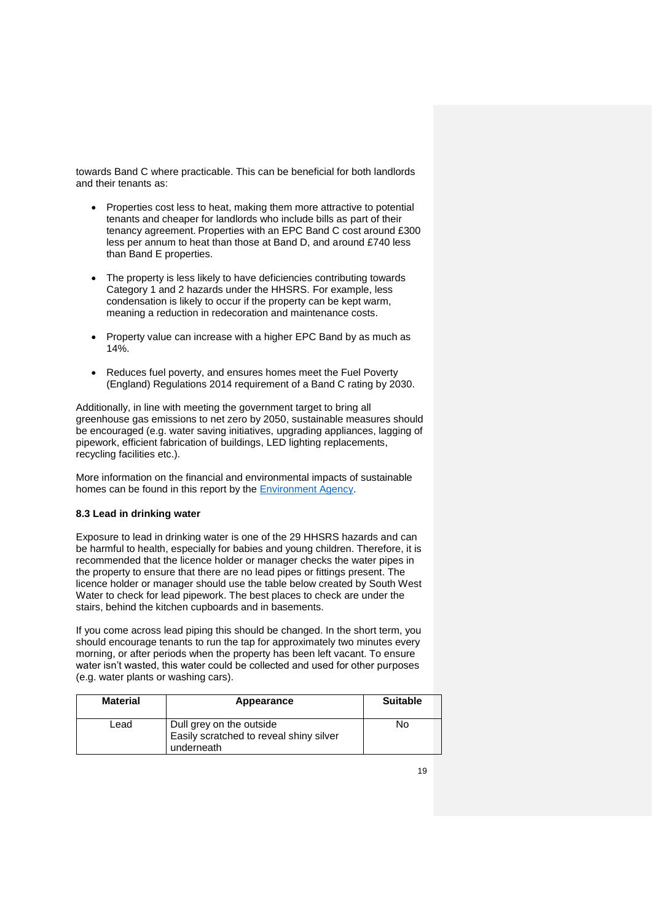towards Band C where practicable. This can be beneficial for both landlords and their tenants as:

- Properties cost less to heat, making them more attractive to potential tenants and cheaper for landlords who include bills as part of their tenancy agreement. Properties with an EPC Band C cost around £300 less per annum to heat than those at Band D, and around £740 less than Band E properties.
- The property is less likely to have deficiencies contributing towards Category 1 and 2 hazards under the HHSRS. For example, less condensation is likely to occur if the property can be kept warm, meaning a reduction in redecoration and maintenance costs.
- Property value can increase with a higher EPC Band by as much as 14%.
- Reduces fuel poverty, and ensures homes meet the Fuel Poverty (England) Regulations 2014 requirement of a Band C rating by 2030.

Additionally, in line with meeting the government target to bring all greenhouse gas emissions to net zero by 2050, sustainable measures should be encouraged (e.g. water saving initiatives, upgrading appliances, lagging of pipework, efficient fabrication of buildings, LED lighting replacements, recycling facilities etc.).

More information on the financial and environmental impacts of sustainable homes can be found in this report by the **Environment Agency**.

# <span id="page-18-0"></span>**8.3 Lead in drinking water**

Exposure to lead in drinking water is one of the 29 HHSRS hazards and can be harmful to health, especially for babies and young children. Therefore, it is recommended that the licence holder or manager checks the water pipes in the property to ensure that there are no lead pipes or fittings present. The licence holder or manager should use the table below created by South West Water to check for lead pipework. The best places to check are under the stairs, behind the kitchen cupboards and in basements.

If you come across lead piping this should be changed. In the short term, you should encourage tenants to run the tap for approximately two minutes every morning, or after periods when the property has been left vacant. To ensure water isn't wasted, this water could be collected and used for other purposes (e.g. water plants or washing cars).

| <b>Material</b> | Appearance                                                                        | <b>Suitable</b> |
|-----------------|-----------------------------------------------------------------------------------|-----------------|
| Lead            | Dull grey on the outside<br>Easily scratched to reveal shiny silver<br>underneath | N٥              |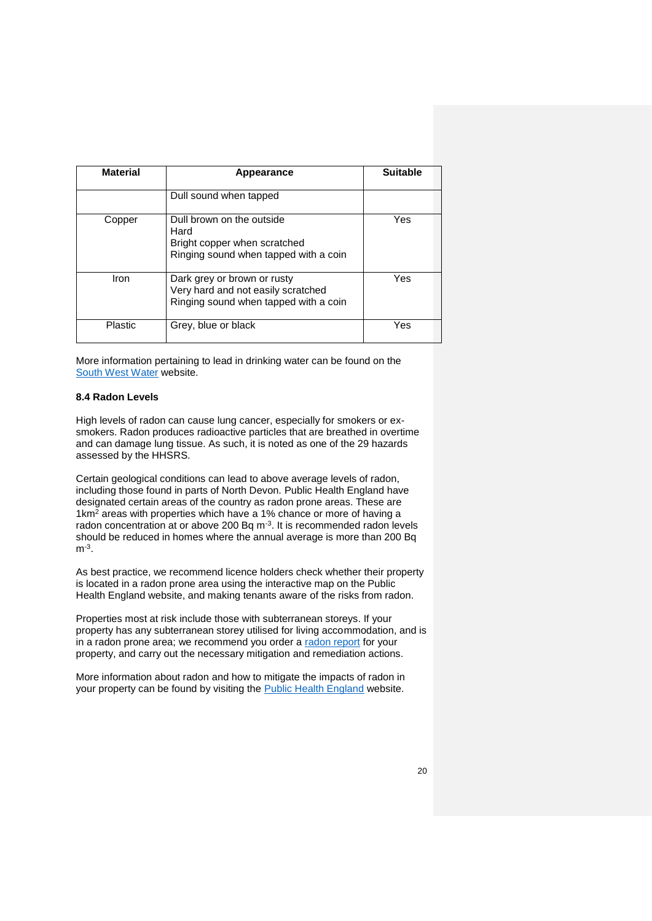| <b>Material</b> | Appearance                                                                                                 | <b>Suitable</b> |
|-----------------|------------------------------------------------------------------------------------------------------------|-----------------|
|                 | Dull sound when tapped                                                                                     |                 |
| Copper          | Dull brown on the outside<br>Hard<br>Bright copper when scratched<br>Ringing sound when tapped with a coin | Yes             |
| Iron            | Dark grey or brown or rusty<br>Very hard and not easily scratched<br>Ringing sound when tapped with a coin | Yes             |
| Plastic         | Grey, blue or black                                                                                        | Yes             |

More information pertaining to lead in drinking water can be found on the [South West Water](https://www.southwestwater.co.uk/advice-and-services/your-water/lead-pipework-and-fittings/) website.

#### <span id="page-19-0"></span>**8.4 Radon Levels**

High levels of radon can cause lung cancer, especially for smokers or exsmokers. Radon produces radioactive particles that are breathed in overtime and can damage lung tissue. As such, it is noted as one of the 29 hazards assessed by the HHSRS.

Certain geological conditions can lead to above average levels of radon, including those found in parts of North Devon. Public Health England have designated certain areas of the country as radon prone areas. These are  $1 \text{km}^2$  areas with properties which have a 1% chance or more of having a radon concentration at or above 200 Bq  $m<sup>-3</sup>$ . It is recommended radon levels should be reduced in homes where the annual average is more than 200 Bq m-3 .

As best practice, we recommend licence holders check whether their property is located in a radon prone area using the interactive map on the Public Health England website, and making tenants aware of the risks from radon.

Properties most at risk include those with subterranean storeys. If your property has any subterranean storey utilised for living accommodation, and is in a radon prone area; we recommend you order a [radon report](https://www.ukradon.org/services/address_search) for your property, and carry out the necessary mitigation and remediation actions.

More information about radon and how to mitigate the impacts of radon in your property can be found by visiting the [Public Health England](https://www.ukradon.org/sectors/householders) website.